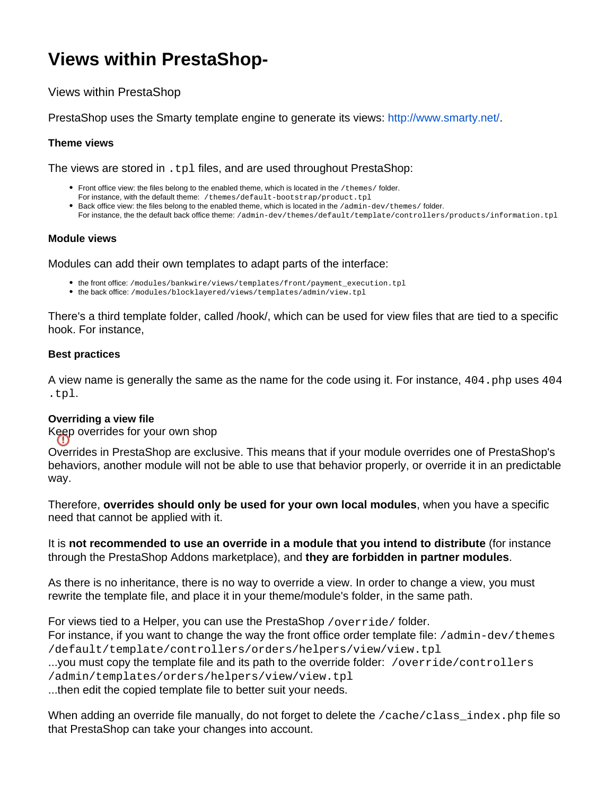# **Views within PrestaShop-**

Views within PrestaShop

PrestaShop uses the Smarty template engine to generate its views: [http://www.smarty.net/.](http://www.smarty.net/)

### **Theme views**

The views are stored in . tpl files, and are used throughout PrestaShop:

- Front office view: the files belong to the enabled theme, which is located in the /themes/ folder.
- For instance, with the default theme: /themes/default-bootstrap/product.tpl
- **Back office view: the files belong to the enabled theme, which is located in the /admin-dev/themes/folder.** For instance, the the default back office theme: /admin-dev/themes/default/template/controllers/products/information.tpl

#### **Module views**

Modules can add their own templates to adapt parts of the interface:

- the front office: /modules/bankwire/views/templates/front/payment\_execution.tpl
- the back office: /modules/blocklayered/views/templates/admin/view.tpl

There's a third template folder, called /hook/, which can be used for view files that are tied to a specific hook. For instance,

## **Best practices**

A view name is generally the same as the name for the code using it. For instance, 404. php uses 404 .tpl.

#### **Overriding a view file**

Keep overrides for your own shop

Overrides in PrestaShop are exclusive. This means that if your module overrides one of PrestaShop's behaviors, another module will not be able to use that behavior properly, or override it in an predictable way.

Therefore, **overrides should only be used for your own local modules**, when you have a specific need that cannot be applied with it.

It is **not recommended to use an override in a module that you intend to distribute** (for instance through the PrestaShop Addons marketplace), and **they are forbidden in partner modules**.

As there is no inheritance, there is no way to override a view. In order to change a view, you must rewrite the template file, and place it in your theme/module's folder, in the same path.

For views tied to a Helper, you can use the PrestaShop /override/ folder. For instance, if you want to change the way the front office order template file: /admin-dev/themes /default/template/controllers/orders/helpers/view/view.tpl ...you must copy the template file and its path to the override folder: /override/controllers /admin/templates/orders/helpers/view/view.tpl

...then edit the copied template file to better suit your needs.

When adding an override file manually, do not forget to delete the  $/cal$  cache $/cal$ ass index.php file so that PrestaShop can take your changes into account.